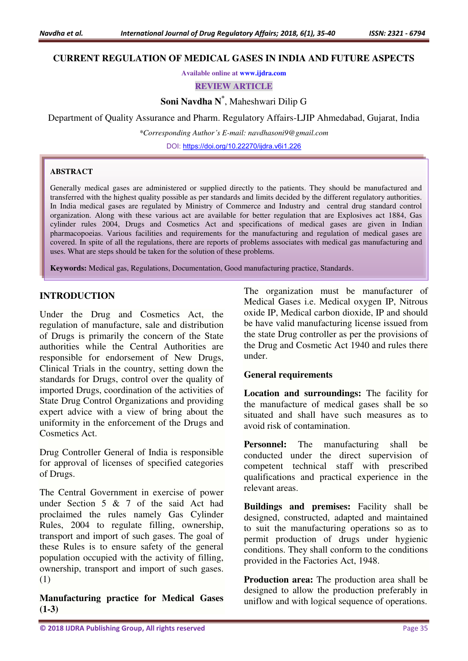#### **CURRENT REGULATION OF MEDICAL GASES IN INDIA AND FUTURE ASPECTS**

**Available online at [www.ijdra.com](http://www.ijdra.com/)**

**REVIEW ARTICLE** 

**Soni Navdha N\*** , Maheshwari Dilip G

Department of Quality Assurance and Pharm. Regulatory Affairs-LJIP Ahmedabad, Gujarat, India

*\*Corresponding Author's E-mail: navdhasoni9@gmail.com* 

DOI:<https://doi.org/10.22270/ijdra.v6i1.226>

#### **ABSTRACT**

Generally medical gases are administered or supplied directly to the patients. They should be manufactured and transferred with the highest quality possible as per standards and limits decided by the different regulatory authorities. In India medical gases are regulated by Ministry of Commerce and Industry and central drug standard control organization. Along with these various act are available for better regulation that are Explosives act 1884, Gas cylinder rules 2004, Drugs and Cosmetics Act and specifications of medical gases are given in Indian pharmacopoeias. Various facilities and requirements for the manufacturing and regulation of medical gases are covered. In spite of all the regulations, there are reports of problems associates with medical gas manufacturing and uses. What are steps should be taken for the solution of these problems.

**Keywords:** Medical gas, Regulations, Documentation, Good manufacturing practice, Standards.

### **INTRODUCTION**

Under the Drug and Cosmetics Act, the regulation of manufacture, sale and distribution of Drugs is primarily the concern of the State authorities while the Central Authorities are responsible for endorsement of New Drugs, Clinical Trials in the country, setting down the standards for Drugs, control over the quality of imported Drugs, coordination of the activities of State Drug Control Organizations and providing expert advice with a view of bring about the uniformity in the enforcement of the Drugs and Cosmetics Act.

Drug Controller General of India is responsible for approval of licenses of specified categories of Drugs.

The Central Government in exercise of power under Section 5 & 7 of the said Act had proclaimed the rules namely Gas Cylinder Rules, 2004 to regulate filling, ownership, transport and import of such gases. The goal of these Rules is to ensure safety of the general population occupied with the activity of filling, ownership, transport and import of such gases. (1)

**Manufacturing practice for Medical Gases (1-3)** 

The organization must be manufacturer of Medical Gases i.e. Medical oxygen IP, Nitrous oxide IP, Medical carbon dioxide, IP and should be have valid manufacturing license issued from the state Drug controller as per the provisions of the Drug and Cosmetic Act 1940 and rules there under.

#### **General requirements**

**Location and surroundings:** The facility for the manufacture of medical gases shall be so situated and shall have such measures as to avoid risk of contamination.

**Personnel:** The manufacturing shall be conducted under the direct supervision of competent technical staff with prescribed qualifications and practical experience in the relevant areas.

**Buildings and premises:** Facility shall be designed, constructed, adapted and maintained to suit the manufacturing operations so as to permit production of drugs under hygienic conditions. They shall conform to the conditions provided in the Factories Act, 1948.

**Production area:** The production area shall be designed to allow the production preferably in uniflow and with logical sequence of operations.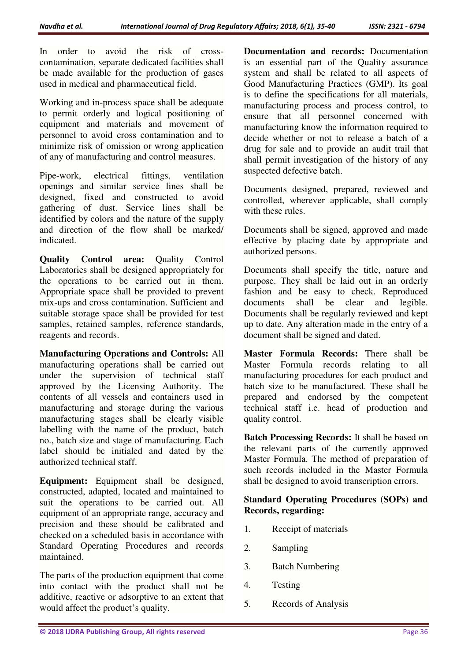In order to avoid the risk of crosscontamination, separate dedicated facilities shall be made available for the production of gases used in medical and pharmaceutical field.

Working and in-process space shall be adequate to permit orderly and logical positioning of equipment and materials and movement of personnel to avoid cross contamination and to minimize risk of omission or wrong application of any of manufacturing and control measures.

Pipe-work, electrical fittings, ventilation openings and similar service lines shall be designed, fixed and constructed to avoid gathering of dust. Service lines shall be identified by colors and the nature of the supply and direction of the flow shall be marked/ indicated.

**Quality Control area:** Quality Control Laboratories shall be designed appropriately for the operations to be carried out in them. Appropriate space shall be provided to prevent mix-ups and cross contamination. Sufficient and suitable storage space shall be provided for test samples, retained samples, reference standards, reagents and records.

**Manufacturing Operations and Controls:** All manufacturing operations shall be carried out under the supervision of technical staff approved by the Licensing Authority. The contents of all vessels and containers used in manufacturing and storage during the various manufacturing stages shall be clearly visible labelling with the name of the product, batch no., batch size and stage of manufacturing. Each label should be initialed and dated by the authorized technical staff.

**Equipment:** Equipment shall be designed, constructed, adapted, located and maintained to suit the operations to be carried out. All equipment of an appropriate range, accuracy and precision and these should be calibrated and checked on a scheduled basis in accordance with Standard Operating Procedures and records maintained.

The parts of the production equipment that come into contact with the product shall not be additive, reactive or adsorptive to an extent that would affect the product's quality.

**Documentation and records:** Documentation is an essential part of the Quality assurance system and shall be related to all aspects of Good Manufacturing Practices (GMP). Its goal is to define the specifications for all materials, manufacturing process and process control, to ensure that all personnel concerned with manufacturing know the information required to decide whether or not to release a batch of a drug for sale and to provide an audit trail that shall permit investigation of the history of any suspected defective batch.

Documents designed, prepared, reviewed and controlled, wherever applicable, shall comply with these rules.

Documents shall be signed, approved and made effective by placing date by appropriate and authorized persons.

Documents shall specify the title, nature and purpose. They shall be laid out in an orderly fashion and be easy to check. Reproduced documents shall be clear and legible. Documents shall be regularly reviewed and kept up to date. Any alteration made in the entry of a document shall be signed and dated.

**Master Formula Records:** There shall be Master Formula records relating to all manufacturing procedures for each product and batch size to be manufactured. These shall be prepared and endorsed by the competent technical staff i.e. head of production and quality control.

**Batch Processing Records:** It shall be based on the relevant parts of the currently approved Master Formula. The method of preparation of such records included in the Master Formula shall be designed to avoid transcription errors.

### **Standard Operating Procedures (SOPs) and Records, regarding:**

- 1. Receipt of materials
- 2. Sampling
- 3. Batch Numbering
- 4. Testing
- 5. Records of Analysis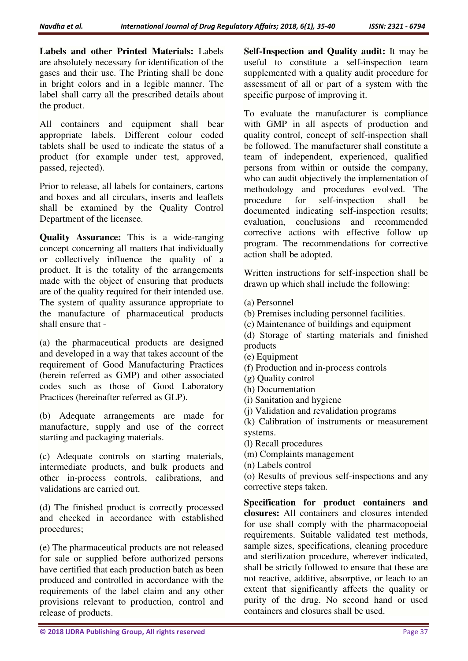**Labels and other Printed Materials:** Labels are absolutely necessary for identification of the gases and their use. The Printing shall be done in bright colors and in a legible manner. The label shall carry all the prescribed details about the product.

All containers and equipment shall bear appropriate labels. Different colour coded tablets shall be used to indicate the status of a product (for example under test, approved, passed, rejected).

Prior to release, all labels for containers, cartons and boxes and all circulars, inserts and leaflets shall be examined by the Quality Control Department of the licensee.

**Quality Assurance:** This is a wide-ranging concept concerning all matters that individually or collectively influence the quality of a product. It is the totality of the arrangements made with the object of ensuring that products are of the quality required for their intended use. The system of quality assurance appropriate to the manufacture of pharmaceutical products shall ensure that -

(a) the pharmaceutical products are designed and developed in a way that takes account of the requirement of Good Manufacturing Practices (herein referred as GMP) and other associated codes such as those of Good Laboratory Practices (hereinafter referred as GLP).

(b) Adequate arrangements are made for manufacture, supply and use of the correct starting and packaging materials.

(c) Adequate controls on starting materials, intermediate products, and bulk products and other in-process controls, calibrations, and validations are carried out.

(d) The finished product is correctly processed and checked in accordance with established procedures;

(e) The pharmaceutical products are not released for sale or supplied before authorized persons have certified that each production batch as been produced and controlled in accordance with the requirements of the label claim and any other provisions relevant to production, control and release of products.

**Self-Inspection and Quality audit:** It may be useful to constitute a self-inspection team supplemented with a quality audit procedure for assessment of all or part of a system with the specific purpose of improving it.

To evaluate the manufacturer is compliance with GMP in all aspects of production and quality control, concept of self-inspection shall be followed. The manufacturer shall constitute a team of independent, experienced, qualified persons from within or outside the company, who can audit objectively the implementation of methodology and procedures evolved. The procedure for self-inspection shall be documented indicating self-inspection results; evaluation, conclusions and recommended corrective actions with effective follow up program. The recommendations for corrective action shall be adopted.

Written instructions for self-inspection shall be drawn up which shall include the following:

(a) Personnel

- (b) Premises including personnel facilities.
- (c) Maintenance of buildings and equipment

(d) Storage of starting materials and finished products

- (e) Equipment
- (f) Production and in-process controls
- (g) Quality control
- (h) Documentation
- (i) Sanitation and hygiene
- (j) Validation and revalidation programs

(k) Calibration of instruments or measurement systems.

(l) Recall procedures

- (m) Complaints management
- (n) Labels control

(o) Results of previous self-inspections and any corrective steps taken.

**Specification for product containers and closures:** All containers and closures intended for use shall comply with the pharmacopoeial requirements. Suitable validated test methods, sample sizes, specifications, cleaning procedure and sterilization procedure, wherever indicated, shall be strictly followed to ensure that these are not reactive, additive, absorptive, or leach to an extent that significantly affects the quality or purity of the drug. No second hand or used containers and closures shall be used.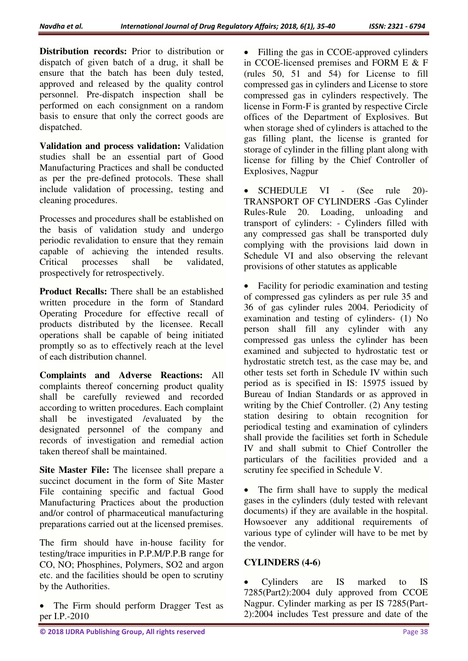**Distribution records:** Prior to distribution or dispatch of given batch of a drug, it shall be ensure that the batch has been duly tested, approved and released by the quality control personnel. Pre-dispatch inspection shall be performed on each consignment on a random basis to ensure that only the correct goods are dispatched.

**Validation and process validation:** Validation studies shall be an essential part of Good Manufacturing Practices and shall be conducted as per the pre-defined protocols. These shall include validation of processing, testing and cleaning procedures.

Processes and procedures shall be established on the basis of validation study and undergo periodic revalidation to ensure that they remain capable of achieving the intended results. Critical processes shall be validated, prospectively for retrospectively.

**Product Recalls:** There shall be an established written procedure in the form of Standard Operating Procedure for effective recall of products distributed by the licensee. Recall operations shall be capable of being initiated promptly so as to effectively reach at the level of each distribution channel.

**Complaints and Adverse Reactions:** All complaints thereof concerning product quality shall be carefully reviewed and recorded according to written procedures. Each complaint shall be investigated /evaluated by the designated personnel of the company and records of investigation and remedial action taken thereof shall be maintained.

**Site Master File:** The licensee shall prepare a succinct document in the form of Site Master File containing specific and factual Good Manufacturing Practices about the production and/or control of pharmaceutical manufacturing preparations carried out at the licensed premises.

The firm should have in-house facility for testing/trace impurities in P.P.M/P.P.B range for CO, NO; Phosphines, Polymers, SO2 and argon etc. and the facilities should be open to scrutiny by the Authorities.

 The Firm should perform Dragger Test as per I.P.-2010

• Filling the gas in CCOE-approved cylinders in CCOE-licensed premises and FORM E & F (rules 50, 51 and 54) for License to fill compressed gas in cylinders and License to store compressed gas in cylinders respectively. The license in Form-F is granted by respective Circle offices of the Department of Explosives. But when storage shed of cylinders is attached to the gas filling plant, the license is granted for storage of cylinder in the filling plant along with license for filling by the Chief Controller of Explosives, Nagpur

 SCHEDULE VI - (See rule 20)- TRANSPORT OF CYLINDERS -Gas Cylinder Rules-Rule 20. Loading, unloading and transport of cylinders: - Cylinders filled with any compressed gas shall be transported duly complying with the provisions laid down in Schedule VI and also observing the relevant provisions of other statutes as applicable

• Facility for periodic examination and testing of compressed gas cylinders as per rule 35 and 36 of gas cylinder rules 2004. Periodicity of examination and testing of cylinders- (1) No person shall fill any cylinder with any compressed gas unless the cylinder has been examined and subjected to hydrostatic test or hydrostatic stretch test, as the case may be, and other tests set forth in Schedule IV within such period as is specified in IS: 15975 issued by Bureau of Indian Standards or as approved in writing by the Chief Controller. (2) Any testing station desiring to obtain recognition for periodical testing and examination of cylinders shall provide the facilities set forth in Schedule IV and shall submit to Chief Controller the particulars of the facilities provided and a scrutiny fee specified in Schedule V.

 The firm shall have to supply the medical gases in the cylinders (duly tested with relevant documents) if they are available in the hospital. Howsoever any additional requirements of various type of cylinder will have to be met by the vendor.

## **CYLINDERS (4-6)**

 Cylinders are IS marked to IS 7285(Part2):2004 duly approved from CCOE Nagpur. Cylinder marking as per IS 7285(Part-2):2004 includes Test pressure and date of the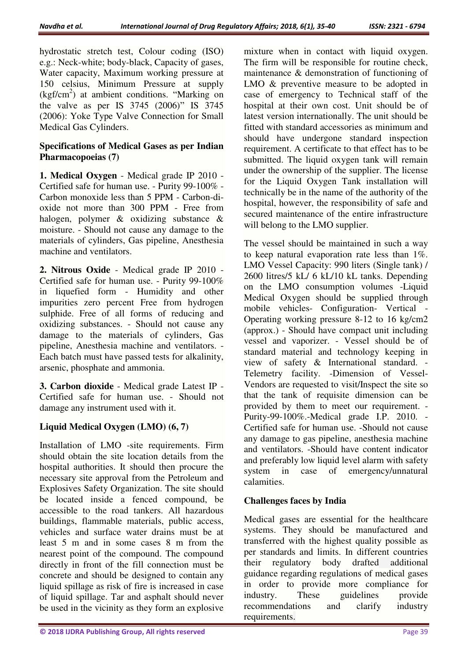hydrostatic stretch test, Colour coding (ISO) e.g.: Neck-white; body-black, Capacity of gases, Water capacity, Maximum working pressure at 150 celsius, Minimum Pressure at supply (kgf/cm<sup>2</sup>) at ambient conditions. "Marking on the valve as per IS 3745 (2006)" IS 3745 (2006): Yoke Type Valve Connection for Small Medical Gas Cylinders.

## **Specifications of Medical Gases as per Indian Pharmacopoeias (7)**

**1. Medical Oxygen** - Medical grade IP 2010 - Certified safe for human use. - Purity 99-100% - Carbon monoxide less than 5 PPM - Carbon-dioxide not more than 300 PPM - Free from halogen, polymer & oxidizing substance & moisture. - Should not cause any damage to the materials of cylinders, Gas pipeline, Anesthesia machine and ventilators.

**2. Nitrous Oxide** - Medical grade IP 2010 - Certified safe for human use. - Purity 99-100% in liquefied form - Humidity and other impurities zero percent Free from hydrogen sulphide. Free of all forms of reducing and oxidizing substances. - Should not cause any damage to the materials of cylinders, Gas pipeline, Anesthesia machine and ventilators. - Each batch must have passed tests for alkalinity, arsenic, phosphate and ammonia.

**3. Carbon dioxide** - Medical grade Latest IP - Certified safe for human use. - Should not damage any instrument used with it.

# **Liquid Medical Oxygen (LMO) (6, 7)**

Installation of LMO -site requirements. Firm should obtain the site location details from the hospital authorities. It should then procure the necessary site approval from the Petroleum and Explosives Safety Organization. The site should be located inside a fenced compound, be accessible to the road tankers. All hazardous buildings, flammable materials, public access, vehicles and surface water drains must be at least 5 m and in some cases 8 m from the nearest point of the compound. The compound directly in front of the fill connection must be concrete and should be designed to contain any liquid spillage as risk of fire is increased in case of liquid spillage. Tar and asphalt should never be used in the vicinity as they form an explosive mixture when in contact with liquid oxygen. The firm will be responsible for routine check, maintenance & demonstration of functioning of LMO & preventive measure to be adopted in case of emergency to Technical staff of the hospital at their own cost. Unit should be of latest version internationally. The unit should be fitted with standard accessories as minimum and should have undergone standard inspection requirement. A certificate to that effect has to be submitted. The liquid oxygen tank will remain under the ownership of the supplier. The license for the Liquid Oxygen Tank installation will technically be in the name of the authority of the hospital, however, the responsibility of safe and secured maintenance of the entire infrastructure will belong to the LMO supplier.

The vessel should be maintained in such a way to keep natural evaporation rate less than 1%. LMO Vessel Capacity: 990 liters (Single tank) / 2600 litres/5 kL/ 6 kL/10 kL tanks. Depending on the LMO consumption volumes -Liquid Medical Oxygen should be supplied through mobile vehicles- Configuration- Vertical - Operating working pressure 8-12 to 16 kg/cm2 (approx.) - Should have compact unit including vessel and vaporizer. - Vessel should be of standard material and technology keeping in view of safety & International standard. - Telemetry facility. -Dimension of Vessel-Vendors are requested to visit/Inspect the site so that the tank of requisite dimension can be provided by them to meet our requirement. - Purity-99-100%.-Medical grade I.P. 2010. - Certified safe for human use. -Should not cause any damage to gas pipeline, anesthesia machine and ventilators. -Should have content indicator and preferably low liquid level alarm with safety<br>system in case of emergency/unnatural system in case of calamities.

# **Challenges faces by India**

Medical gases are essential for the healthcare systems. They should be manufactured and transferred with the highest quality possible as per standards and limits. In different countries their regulatory body drafted additional guidance regarding regulations of medical gases in order to provide more compliance for industry. These guidelines provide recommendations and clarify industry requirements.